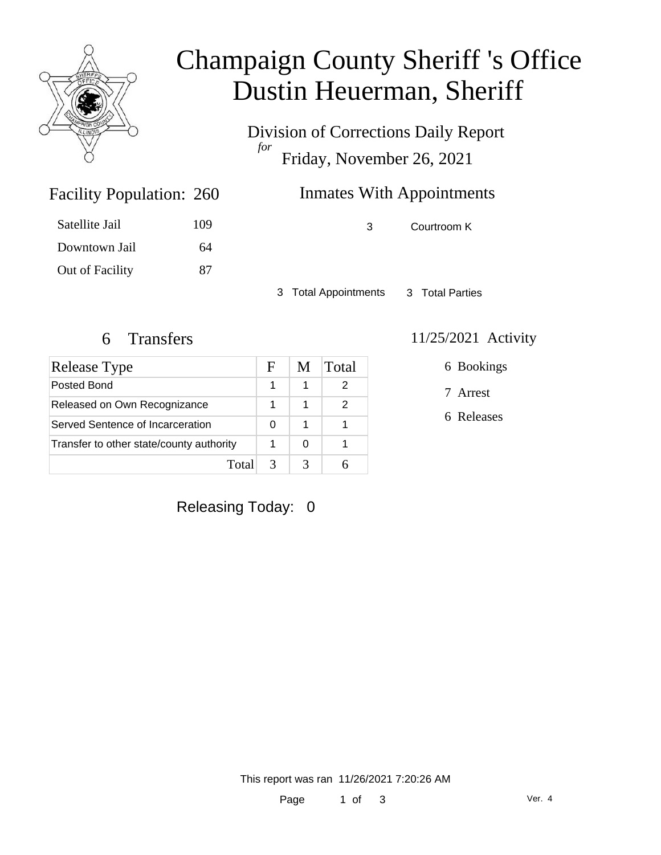

# Champaign County Sheriff 's Office Dustin Heuerman, Sheriff

Division of Corrections Daily Report *for* Friday, November 26, 2021

## Inmates With Appointments

3 Courtroom K

3 Total Appointments 3 Total Parties

Facility Population: 260

Satellite Jail 109

Downtown Jail 64

Out of Facility 87

| <b>Release Type</b>                      | F | M | Total |
|------------------------------------------|---|---|-------|
| Posted Bond                              |   |   |       |
| Released on Own Recognizance             |   |   | 2     |
| Served Sentence of Incarceration         | 0 |   |       |
| Transfer to other state/county authority |   | O |       |
| Totall                                   |   |   |       |

#### 6 Transfers 11/25/2021 Activity

6 Bookings

7 Arrest

6 Releases

Releasing Today: 0

This report was ran 11/26/2021 7:20:26 AM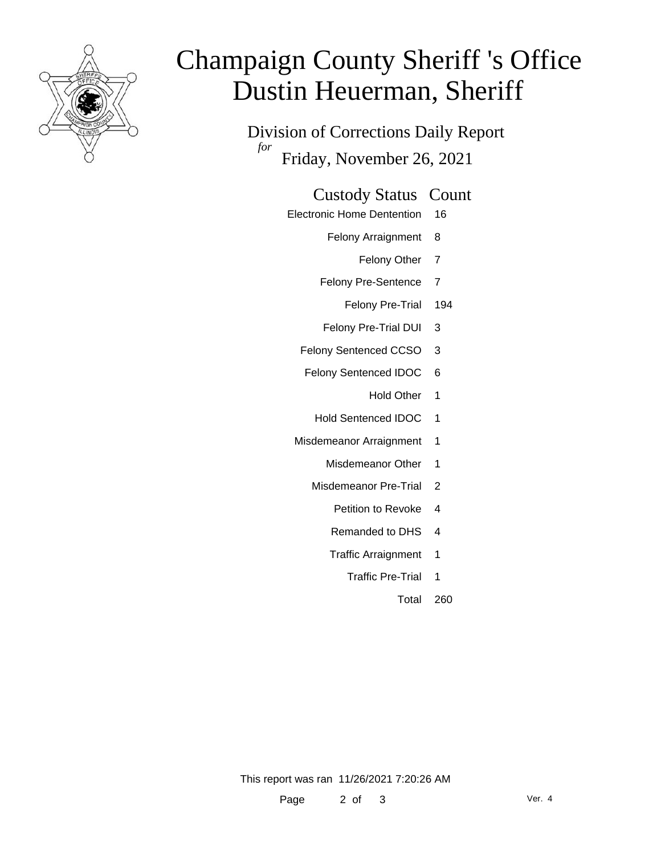

# Champaign County Sheriff 's Office Dustin Heuerman, Sheriff

Division of Corrections Daily Report *for* Friday, November 26, 2021

#### Custody Status Count

- Electronic Home Dentention 16
	- Felony Arraignment 8
		- Felony Other 7
	- Felony Pre-Sentence 7
		- Felony Pre-Trial 194
	- Felony Pre-Trial DUI 3
	- Felony Sentenced CCSO 3
	- Felony Sentenced IDOC 6
		- Hold Other 1
		- Hold Sentenced IDOC 1
	- Misdemeanor Arraignment 1
		- Misdemeanor Other 1
		- Misdemeanor Pre-Trial 2
			- Petition to Revoke 4
			- Remanded to DHS 4
			- Traffic Arraignment 1
				- Traffic Pre-Trial 1
					- Total 260